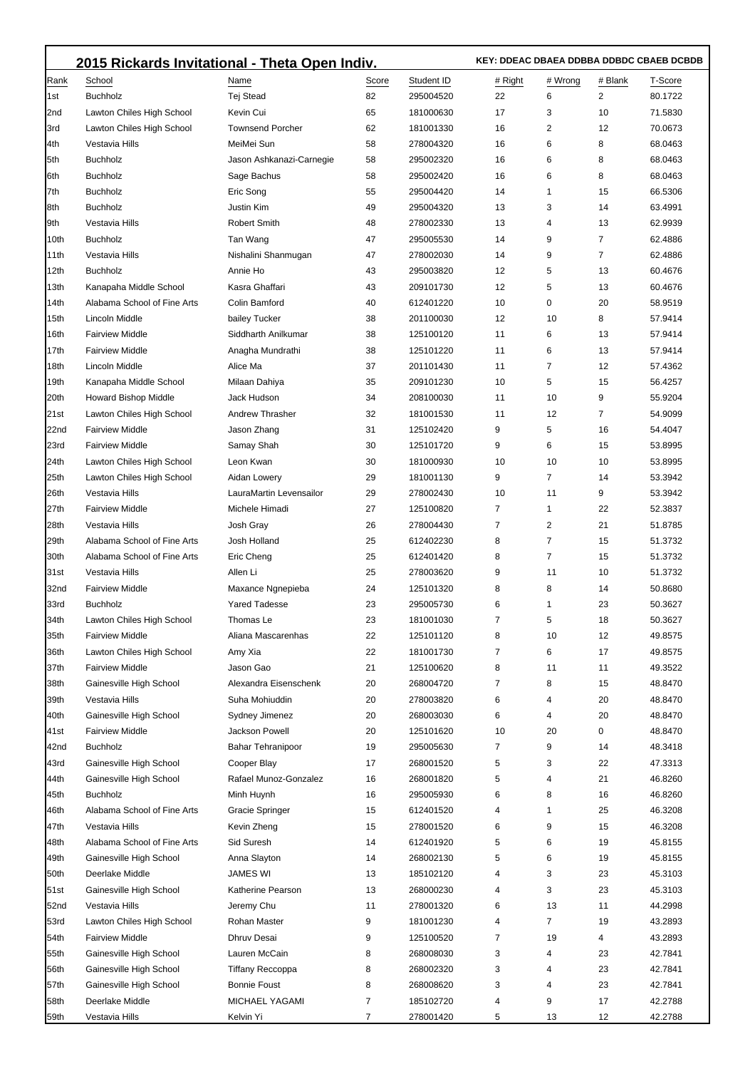|              | 2015 Rickards Invitational - Theta Open Indiv.      |                                 |          |                        |                     | KEY: DDEAC DBAEA DDBBA DDBDC CBAEB DCBDB |          |                    |  |  |
|--------------|-----------------------------------------------------|---------------------------------|----------|------------------------|---------------------|------------------------------------------|----------|--------------------|--|--|
| Rank         | School                                              | Name                            | Score    | Student ID             | # Right             | # Wrong                                  | # Blank  | T-Score            |  |  |
| 1st          | <b>Buchholz</b>                                     | Tej Stead                       | 82       | 295004520              | 22                  | 6                                        | 2        | 80.1722            |  |  |
| 2nd          | Lawton Chiles High School                           | Kevin Cui                       | 65       | 181000630              | 17                  | 3                                        | 10       | 71.5830            |  |  |
| 3rd          | Lawton Chiles High School                           | <b>Townsend Porcher</b>         | 62       | 181001330              | 16                  | 2                                        | 12       | 70.0673            |  |  |
| 4th          | Vestavia Hills                                      | MeiMei Sun                      | 58       | 278004320              | 16                  | 6                                        | 8        | 68.0463            |  |  |
| 5th          | <b>Buchholz</b>                                     | Jason Ashkanazi-Carnegie        | 58       | 295002320              | 16                  | 6                                        | 8        | 68.0463            |  |  |
| 6th          | <b>Buchholz</b>                                     | Sage Bachus                     | 58       | 295002420              | 16                  | 6                                        | 8        | 68.0463            |  |  |
| 7th          | <b>Buchholz</b>                                     | Eric Song                       | 55       | 295004420              | 14                  | 1                                        | 15       | 66.5306            |  |  |
| 8th          | <b>Buchholz</b>                                     | <b>Justin Kim</b>               | 49       | 295004320              | 13                  | 3                                        | 14       | 63.4991            |  |  |
| 9th          | Vestavia Hills                                      | <b>Robert Smith</b>             | 48       | 278002330              | 13                  | 4                                        | 13       | 62.9939            |  |  |
| 10th         | <b>Buchholz</b>                                     | Tan Wang                        | 47       | 295005530              | 14                  | 9                                        | 7        | 62.4886            |  |  |
| 11th         | Vestavia Hills                                      | Nishalini Shanmugan             | 47       | 278002030              | 14                  | 9                                        | 7        | 62.4886            |  |  |
| 12th         | <b>Buchholz</b>                                     | Annie Ho                        | 43       | 295003820              | 12                  | 5                                        | 13       | 60.4676            |  |  |
| 13th         | Kanapaha Middle School                              | Kasra Ghaffari                  | 43       | 209101730              | 12                  | 5                                        | 13       | 60.4676            |  |  |
| 14th         | Alabama School of Fine Arts                         | Colin Bamford                   | 40       | 612401220              | 10                  | 0                                        | 20       | 58.9519            |  |  |
| 15th         | Lincoln Middle                                      | bailey Tucker                   | 38       | 201100030              | 12                  | 10                                       | 8        | 57.9414            |  |  |
| 16th         | <b>Fairview Middle</b>                              | Siddharth Anilkumar             | 38       | 125100120              | 11                  | 6                                        | 13       | 57.9414            |  |  |
| 17th         | <b>Fairview Middle</b>                              | Anagha Mundrathi                | 38       | 125101220              | 11                  | 6                                        | 13       | 57.9414            |  |  |
| 18th         | Lincoln Middle                                      | Alice Ma                        | 37       | 201101430              | 11                  | 7                                        | 12       | 57.4362            |  |  |
| 19th         | Kanapaha Middle School                              | Milaan Dahiya                   | 35       | 209101230              | 10                  | 5                                        | 15       | 56.4257            |  |  |
| 20th         | <b>Howard Bishop Middle</b>                         | Jack Hudson                     | 34       | 208100030              | 11                  | 10                                       | 9        | 55.9204            |  |  |
| 21st         | Lawton Chiles High School                           | <b>Andrew Thrasher</b>          | 32       | 181001530              | 11                  | 12                                       | 7        | 54.9099            |  |  |
| 22nd         | <b>Fairview Middle</b>                              | Jason Zhang                     | 31       | 125102420              | 9                   | 5                                        | 16       | 54.4047            |  |  |
| 23rd         | <b>Fairview Middle</b>                              | Samay Shah                      | 30       | 125101720              | 9                   | 6                                        | 15       | 53.8995            |  |  |
| 24th         | Lawton Chiles High School                           | Leon Kwan                       | 30       | 181000930              | 10                  | 10                                       | 10       | 53.8995            |  |  |
| 25th         | Lawton Chiles High School                           | Aidan Lowery                    | 29       | 181001130              | 9                   | 7                                        | 14       | 53.3942            |  |  |
| 26th         | Vestavia Hills                                      | LauraMartin Levensailor         | 29       | 278002430              | 10                  | 11                                       | 9        | 53.3942            |  |  |
| 27th         | <b>Fairview Middle</b>                              | Michele Himadi                  | 27       | 125100820              | $\overline{7}$      | 1                                        | 22       | 52.3837            |  |  |
| 28th         | Vestavia Hills                                      | Josh Gray                       | 26       | 278004430              | 7                   | 2                                        | 21       | 51.8785            |  |  |
| 29th         | Alabama School of Fine Arts                         | Josh Holland                    | 25       | 612402230              | 8                   | $\overline{7}$                           | 15       | 51.3732            |  |  |
| 30th         | Alabama School of Fine Arts                         | Eric Cheng                      | 25       | 612401420              | 8                   | $\overline{7}$                           | 15       | 51.3732            |  |  |
| 31st         | Vestavia Hills                                      | Allen Li                        | 25       | 278003620              | 9                   | 11                                       | 10       | 51.3732            |  |  |
| 32nd         | <b>Fairview Middle</b>                              | Maxance Ngnepieba               | 24       | 125101320              | 8                   | 8                                        | 14       | 50.8680<br>50.3627 |  |  |
| 33rd         | <b>Buchholz</b>                                     | <b>Yared Tadesse</b>            | 23       | 295005730              | 6<br>$\overline{7}$ | 1                                        | 23       | 50.3627            |  |  |
| 34th<br>35th | Lawton Chiles High School<br><b>Fairview Middle</b> | Thomas Le<br>Aliana Mascarenhas | 23<br>22 | 181001030<br>125101120 | 8                   | 5<br>10                                  | 18<br>12 | 49.8575            |  |  |
| 36th         | Lawton Chiles High School                           | Amy Xia                         | 22       | 181001730              | $\overline{7}$      | 6                                        | 17       | 49.8575            |  |  |
| 37th         | <b>Fairview Middle</b>                              | Jason Gao                       | 21       | 125100620              | 8                   | 11                                       | 11       | 49.3522            |  |  |
| 38th         | Gainesville High School                             | Alexandra Eisenschenk           | 20       | 268004720              | 7                   | 8                                        | 15       | 48.8470            |  |  |
| 39th         | Vestavia Hills                                      | Suha Mohiuddin                  | 20       | 278003820              | 6                   | 4                                        | 20       | 48.8470            |  |  |
| 40th         | Gainesville High School                             | Sydney Jimenez                  | 20       | 268003030              | 6                   | 4                                        | 20       | 48.8470            |  |  |
| 41st         | <b>Fairview Middle</b>                              | Jackson Powell                  | 20       | 125101620              | 10                  | 20                                       | 0        | 48.8470            |  |  |
| 42nd         | <b>Buchholz</b>                                     | <b>Bahar Tehranipoor</b>        | 19       | 295005630              | 7                   | 9                                        | 14       | 48.3418            |  |  |
| 43rd         | Gainesville High School                             | Cooper Blay                     | 17       | 268001520              | 5                   | 3                                        | 22       | 47.3313            |  |  |
| 44th         | Gainesville High School                             | Rafael Munoz-Gonzalez           | 16       | 268001820              | 5                   | 4                                        | 21       | 46.8260            |  |  |
| 45th         | <b>Buchholz</b>                                     | Minh Huynh                      | 16       | 295005930              | 6                   | 8                                        | 16       | 46.8260            |  |  |
| 46th         | Alabama School of Fine Arts                         | Gracie Springer                 | 15       | 612401520              | 4                   | 1                                        | 25       | 46.3208            |  |  |
| 47th         | Vestavia Hills                                      | Kevin Zheng                     | 15       | 278001520              | 6                   | 9                                        | 15       | 46.3208            |  |  |
| 48th         | Alabama School of Fine Arts                         | Sid Suresh                      | 14       | 612401920              | 5                   | 6                                        | 19       | 45.8155            |  |  |
| 49th         | Gainesville High School                             | Anna Slayton                    | 14       | 268002130              | 5                   | 6                                        | 19       | 45.8155            |  |  |
| 50th         | Deerlake Middle                                     | JAMES WI                        | 13       | 185102120              | 4                   | 3                                        | 23       | 45.3103            |  |  |
| 51st         | Gainesville High School                             | Katherine Pearson               | 13       | 268000230              | 4                   | 3                                        | 23       | 45.3103            |  |  |
| 52nd         | Vestavia Hills                                      | Jeremy Chu                      | 11       | 278001320              | 6                   | 13                                       | 11       | 44.2998            |  |  |
| 53rd         | Lawton Chiles High School                           | Rohan Master                    | 9        | 181001230              | 4                   | 7                                        | 19       | 43.2893            |  |  |
| 54th         | <b>Fairview Middle</b>                              | Dhruv Desai                     | 9        | 125100520              | $\overline{7}$      | 19                                       | 4        | 43.2893            |  |  |
| 55th         | Gainesville High School                             | Lauren McCain                   | 8        | 268008030              | 3                   | 4                                        | 23       | 42.7841            |  |  |
| 56th         | Gainesville High School                             | <b>Tiffany Reccoppa</b>         | 8        | 268002320              | 3                   | 4                                        | 23       | 42.7841            |  |  |
| 57th         | Gainesville High School                             | <b>Bonnie Foust</b>             | 8        | 268008620              | 3                   | 4                                        | 23       | 42.7841            |  |  |
| 58th         | Deerlake Middle                                     | MICHAEL YAGAMI                  | 7        | 185102720              | 4                   | 9                                        | 17       | 42.2788            |  |  |
| 59th         | Vestavia Hills                                      | Kelvin Yi                       | 7        | 278001420              | 5                   | 13                                       | 12       | 42.2788            |  |  |